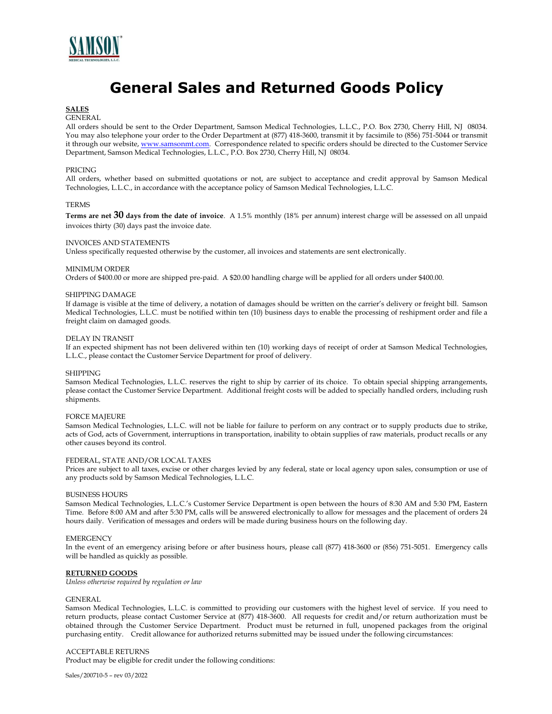

# **General Sales and Returned Goods Policy**

# **SALES**

# GENERAL

All orders should be sent to the Order Department, Samson Medical Technologies, L.L.C., P.O. Box 2730, Cherry Hill, NJ 08034. You may also telephone your order to the Order Department at (877) 418-3600, transmit it by facsimile to (856) 751-5044 or transmit it through our website, www.samsonmt.com. Correspondence related to specific orders should be directed to the Customer Service Department, Samson Medical Technologies, L.L.C., P.O. Box 2730, Cherry Hill, NJ 08034.

#### PRICING

All orders, whether based on submitted quotations or not, are subject to acceptance and credit approval by Samson Medical Technologies, L.L.C., in accordance with the acceptance policy of Samson Medical Technologies, L.L.C.

## TERMS

**Terms are net 30 days from the date of invoice**. A 1.5% monthly (18% per annum) interest charge will be assessed on all unpaid invoices thirty (30) days past the invoice date.

#### INVOICES AND STATEMENTS

Unless specifically requested otherwise by the customer, all invoices and statements are sent electronically.

#### MINIMUM ORDER

Orders of \$400.00 or more are shipped pre-paid. A \$20.00 handling charge will be applied for all orders under \$400.00.

### SHIPPING DAMAGE

If damage is visible at the time of delivery, a notation of damages should be written on the carrier's delivery or freight bill. Samson Medical Technologies, L.L.C. must be notified within ten (10) business days to enable the processing of reshipment order and file a freight claim on damaged goods.

#### DELAY IN TRANSIT

If an expected shipment has not been delivered within ten (10) working days of receipt of order at Samson Medical Technologies, L.L.C., please contact the Customer Service Department for proof of delivery.

#### SHIPPING

Samson Medical Technologies, L.L.C. reserves the right to ship by carrier of its choice. To obtain special shipping arrangements, please contact the Customer Service Department. Additional freight costs will be added to specially handled orders, including rush shipments.

### FORCE MAJEURE

Samson Medical Technologies, L.L.C. will not be liable for failure to perform on any contract or to supply products due to strike, acts of God, acts of Government, interruptions in transportation, inability to obtain supplies of raw materials, product recalls or any other causes beyond its control.

# FEDERAL, STATE AND/OR LOCAL TAXES

Prices are subject to all taxes, excise or other charges levied by any federal, state or local agency upon sales, consumption or use of any products sold by Samson Medical Technologies, L.L.C.

# BUSINESS HOURS

Samson Medical Technologies, L.L.C.'s Customer Service Department is open between the hours of 8:30 AM and 5:30 PM, Eastern Time. Before 8:00 AM and after 5:30 PM, calls will be answered electronically to allow for messages and the placement of orders 24 hours daily. Verification of messages and orders will be made during business hours on the following day.

## **EMERGENCY**

In the event of an emergency arising before or after business hours, please call (877) 418-3600 or (856) 751-5051. Emergency calls will be handled as quickly as possible.

## **RETURNED GOODS**

*Unless otherwise required by regulation or law*

## GENERAL

Samson Medical Technologies, L.L.C. is committed to providing our customers with the highest level of service. If you need to return products, please contact Customer Service at (877) 418-3600. All requests for credit and/or return authorization must be obtained through the Customer Service Department. Product must be returned in full, unopened packages from the original purchasing entity. Credit allowance for authorized returns submitted may be issued under the following circumstances:

#### ACCEPTABLE RETURNS

Product may be eligible for credit under the following conditions:

Sales/200710-5 – rev 03/2022